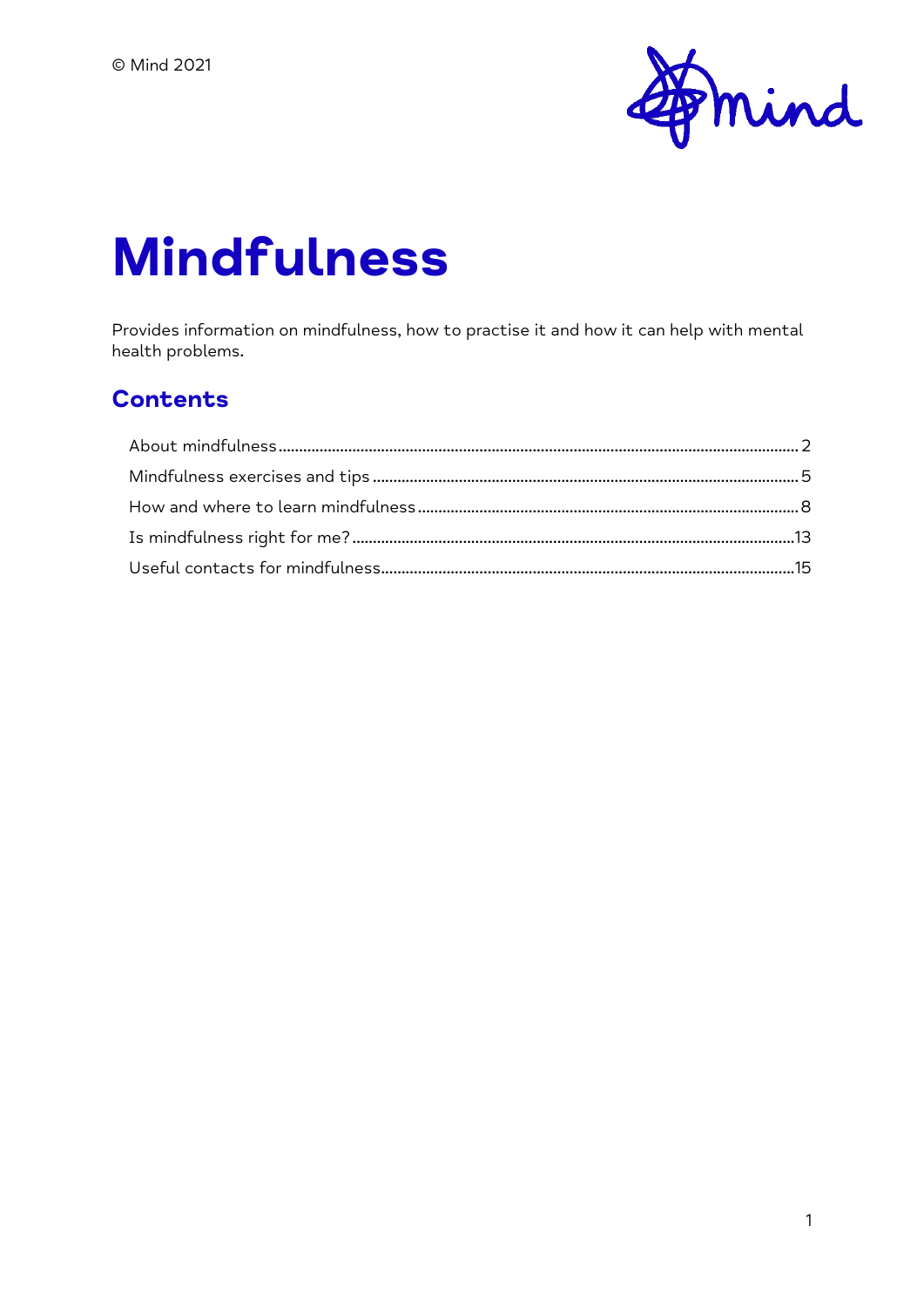

# **Mindfulness**

Provides information on mindfulness, how to practise it and how it can help with mental health problems.

#### **Contents**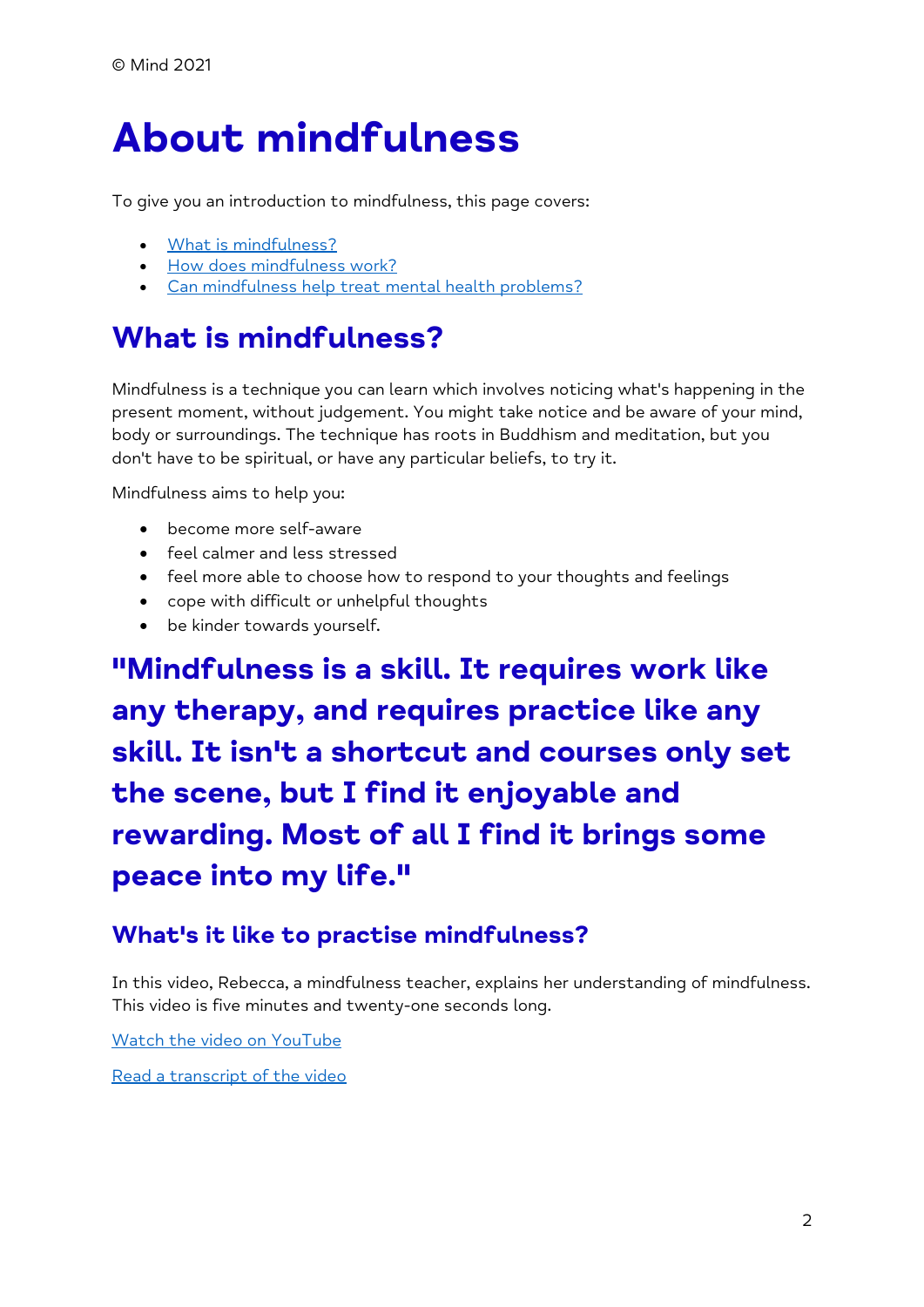# <span id="page-1-0"></span>**About mindfulness**

To give you an introduction to mindfulness, this page covers:

- [What is mindfulness?](https://www.mind.org.uk/information-support/drugs-and-treatments/mindfulness/about-mindfulness/#WhatIsMindfulness)
- [How does mindfulness work?](https://www.mind.org.uk/information-support/drugs-and-treatments/mindfulness/about-mindfulness/#HowDoesMindfulnessWork)
- [Can mindfulness help treat mental health problems?](https://www.mind.org.uk/information-support/drugs-and-treatments/mindfulness/about-mindfulness/#CanMindfulnessHelpTreatMentalHealthProblems)

## **What is mindfulness?**

Mindfulness is a technique you can learn which involves noticing what's happening in the present moment, without judgement. You might take notice and be aware of your mind, body or surroundings. The technique has roots in Buddhism and meditation, but you don't have to be spiritual, or have any particular beliefs, to try it.

Mindfulness aims to help you:

- become more self-aware
- feel calmer and less stressed
- feel more able to choose how to respond to your thoughts and feelings
- cope with difficult or unhelpful thoughts
- be kinder towards yourself.

**"Mindfulness is a skill. It requires work like any therapy, and requires practice like any skill. It isn't a shortcut and courses only set the scene, but I find it enjoyable and rewarding. Most of all I find it brings some peace into my life."**

#### **What's it like to practise mindfulness?**

In this video, Rebecca, a mindfulness teacher, explains her understanding of mindfulness. This video is five minutes and twenty-one seconds long.

Watch the video [on YouTube](https://youtu.be/VAl7jnV5FiY)

[Read a transcript of the video](https://www.mind.org.uk/media/9585/mindfulness-what-is-mindfulness-video-transcription.pdf)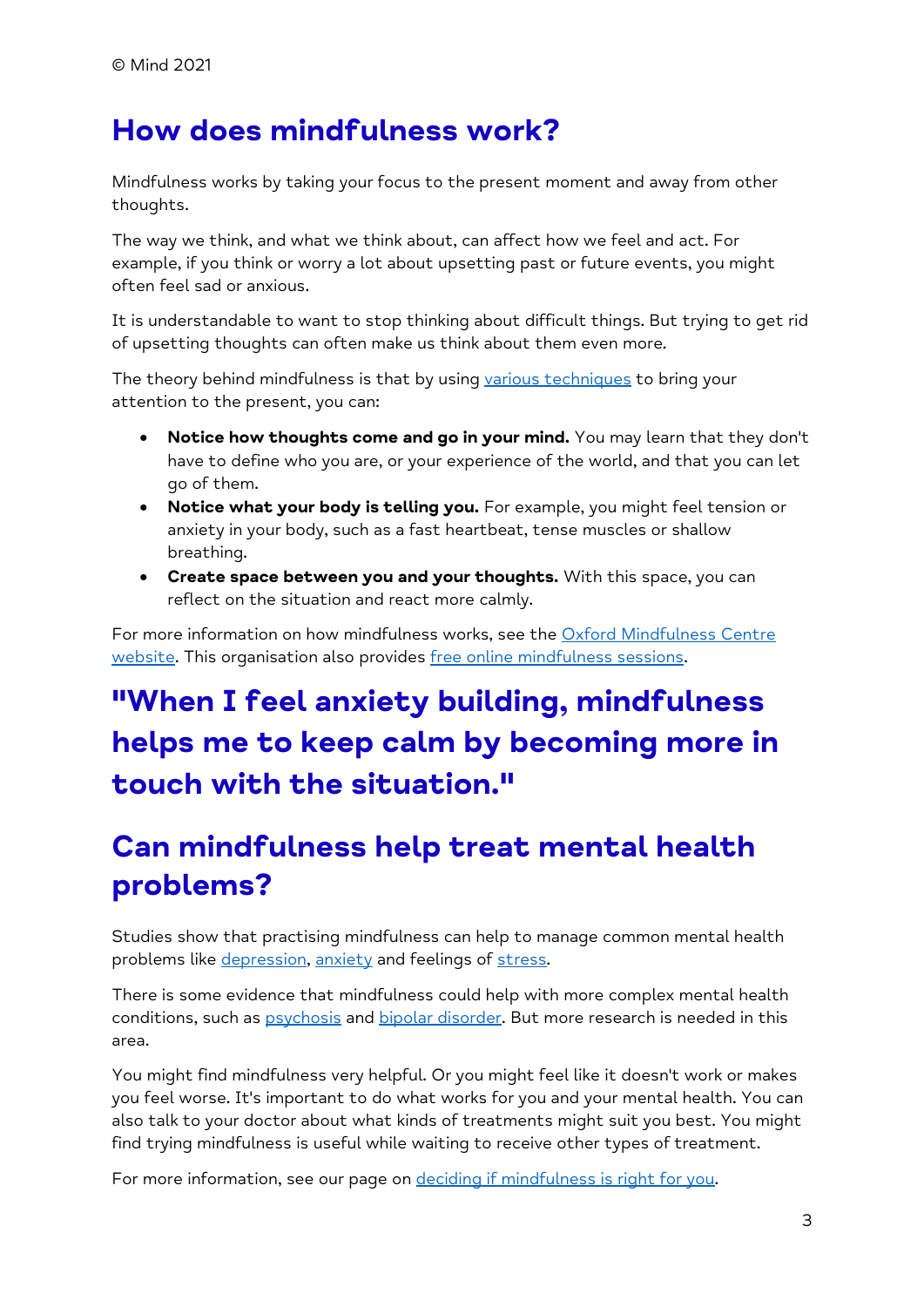### **How does mindfulness work?**

Mindfulness works by taking your focus to the present moment and away from other thoughts.

The way we think, and what we think about, can affect how we feel and act. For example, if you think or worry a lot about upsetting past or future events, you might often feel sad or anxious.

It is understandable to want to stop thinking about difficult things. But trying to get rid of upsetting thoughts can often make us think about them even more.

The theory behind mindfulness is that by using [various techniques](https://www.mind.org.uk/information-support/drugs-and-treatments/mindfulness/mindfulness-exercises-tips/) to bring your attention to the present, you can:

- **Notice how thoughts come and go in your mind.** You may learn that they don't have to define who you are, or your experience of the world, and that you can let go of them.
- **Notice what your body is telling you.** For example, you might feel tension or anxiety in your body, such as a fast heartbeat, tense muscles or shallow breathing.
- **Create space between you and your thoughts.** With this space, you can reflect on the situation and react more calmly.

For more information on how mindfulness works, see the [Oxford Mindfulness Centre](http://oxfordmindfulness.org/)  [website.](http://oxfordmindfulness.org/) This organisation also provides [free online mindfulness sessions.](https://www.oxfordmindfulness.org/free-online-mindfulness-course-sessions/)

# **"When I feel anxiety building, mindfulness helps me to keep calm by becoming more in touch with the situation."**

# **Can mindfulness help treat mental health problems?**

Studies show that practising mindfulness can help to manage common mental health problems like [depression,](https://www.mind.org.uk/information-support/types-of-mental-health-problems/depression/about-depression/) [anxiety](https://www.mind.org.uk/information-support/types-of-mental-health-problems/anxiety-and-panic-attacks/about-anxiety/) and feelings of [stress.](https://www.mind.org.uk/information-support/types-of-mental-health-problems/stress/what-is-stress/)

There is some evidence that mindfulness could help with more complex mental health conditions, such as [psychosis](https://www.mind.org.uk/information-support/types-of-mental-health-problems/psychosis/about-psychosis/) and [bipolar disorder.](https://www.mind.org.uk/information-support/types-of-mental-health-problems/bipolar-disorder/about-bipolar-disorder/) But more research is needed in this area.

You might find mindfulness very helpful. Or you might feel like it doesn't work or makes you feel worse. It's important to do what works for you and your mental health. You can also talk to your doctor about what kinds of treatments might suit you best. You might find trying mindfulness is useful while waiting to receive other types of treatment.

For more information, see our page on [deciding if mindfulness is right for you.](https://www.mind.org.uk/information-support/drugs-and-treatments/mindfulness/is-mindfulness-right-for-me/)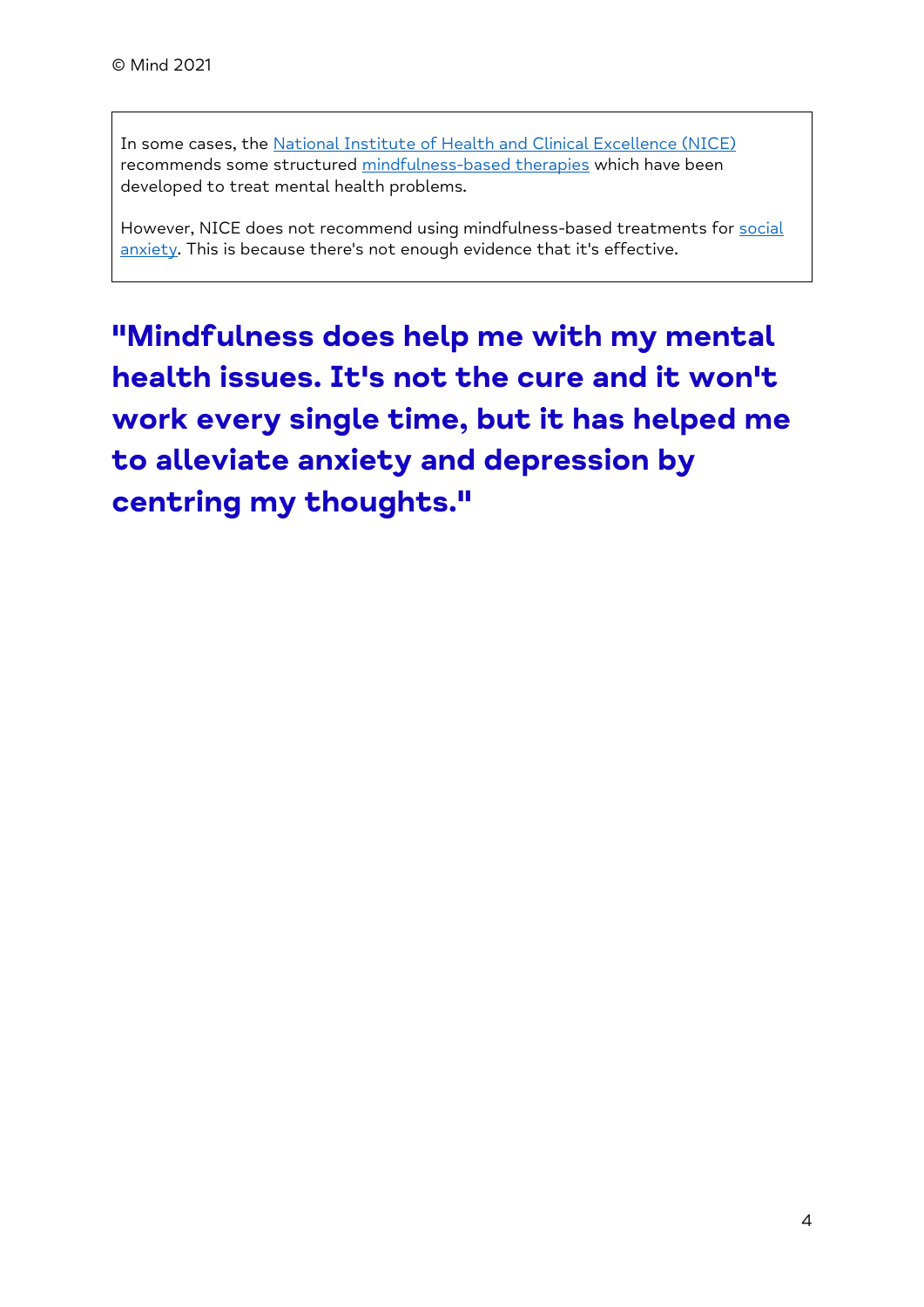In some cases, the [National Institute of Health and Clinical Excellence \(NICE\)](https://www.nice.org.uk/) recommends some structured [mindfulness-based therapies](https://www.mind.org.uk/information-support/drugs-and-treatments/mindfulness/how-to-learn-mindfulness/#FormalMindfulnessCoursesMBCTAndMBSR) which have been developed to treat mental health problems.

However, NICE does not recommend using mindfulness-based treatments for social [anxiety.](https://www.mind.org.uk/information-support/types-of-mental-health-problems/anxiety-and-panic-attacks/anxiety-disorders/) This is because there's not enough evidence that it's effective.

**"Mindfulness does help me with my mental health issues. It's not the cure and it won't work every single time, but it has helped me to alleviate anxiety and depression by centring my thoughts."**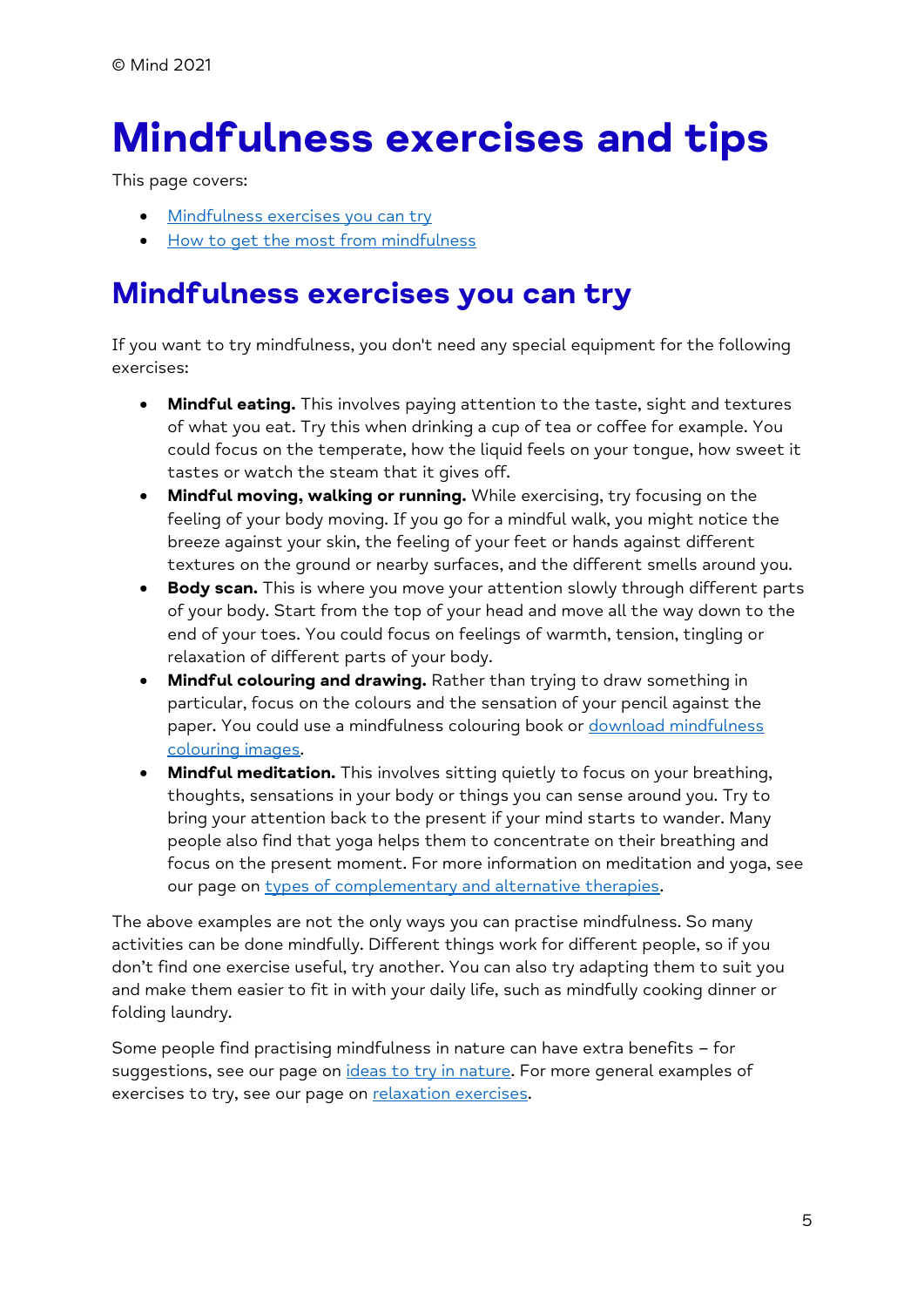# <span id="page-4-0"></span>**Mindfulness exercises and tips**

This page covers:

- [Mindfulness exercises you can try](https://www.mind.org.uk/information-support/drugs-and-treatments/mindfulness/mindfulness-exercises-tips/#MindfulnessExercisesToTry)
- [How to get the most from mindfulness](https://www.mind.org.uk/information-support/drugs-and-treatments/mindfulness/mindfulness-exercises-tips/#TipsOnGettingTheMostFromMindfulnessExercises)

### **Mindfulness exercises you can try**

If you want to try mindfulness, you don't need any special equipment for the following exercises:

- **Mindful eating.** This involves paying attention to the taste, sight and textures of what you eat. Try this when drinking a cup of tea or coffee for example. You could focus on the temperate, how the liquid feels on your tongue, how sweet it tastes or watch the steam that it gives off.
- **Mindful moving, walking or running.** While exercising, try focusing on the feeling of your body moving. If you go for a mindful walk, you might notice the breeze against your skin, the feeling of your feet or hands against different textures on the ground or nearby surfaces, and the different smells around you.
- **Body scan.** This is where you move your attention slowly through different parts of your body. Start from the top of your head and move all the way down to the end of your toes. You could focus on feelings of warmth, tension, tingling or relaxation of different parts of your body.
- **Mindful colouring and drawing.** Rather than trying to draw something in particular, focus on the colours and the sensation of your pencil against the paper. You could use a mindfulness colouring book or download mindfulness [colouring images.](https://www.justcolor.net/)
- **Mindful meditation.** This involves sitting quietly to focus on your breathing, thoughts, sensations in your body or things you can sense around you. Try to bring your attention back to the present if your mind starts to wander. Many people also find that yoga helps them to concentrate on their breathing and focus on the present moment. For more information on meditation and yoga, see our page on [types of complementary and alternative therapies.](https://www.mind.org.uk/information-support/drugs-and-treatments/complementary-and-alternative-therapies/list-of-complementary-alternative-therapies/)

The above examples are not the only ways you can practise mindfulness. So many activities can be done mindfully. Different things work for different people, so if you don't find one exercise useful, try another. You can also try adapting them to suit you and make them easier to fit in with your daily life, such as mindfully cooking dinner or folding laundry.

Some people find practising mindfulness in nature can have extra benefits – for suggestions, see our page on [ideas to try in nature.](https://www.mind.org.uk/information-support/tips-for-everyday-living/nature-and-mental-health/ideas-to-try-in-nature/) For more general examples of exercises to try, see our page on [relaxation exercises.](https://www.mind.org.uk/information-support/tips-for-everyday-living/relaxation/relaxation-exercises/)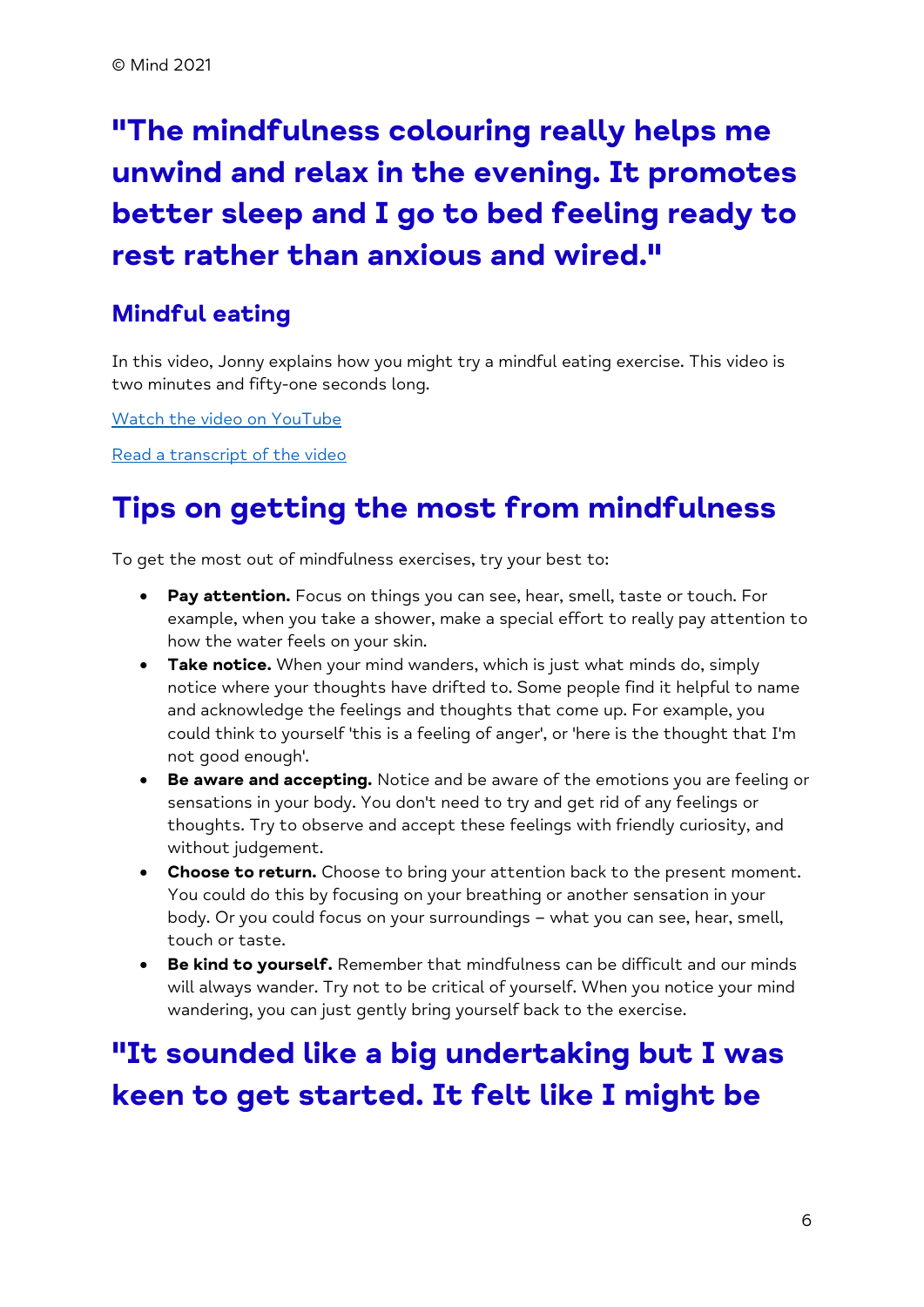# **"The mindfulness colouring really helps me unwind and relax in the evening. It promotes better sleep and I go to bed feeling ready to rest rather than anxious and wired."**

#### **Mindful eating**

In this video, Jonny explains how you might try a mindful eating exercise. This video is two minutes and fifty-one seconds long.

[Watch the video](https://youtu.be/aZ-fp6qws8Q) on YouTube

[Read a transcript of the video](https://www.mind.org.uk/media/9584/mindfulness-mindful-eating-video-transcription.pdf)

## **Tips on getting the most from mindfulness**

To get the most out of mindfulness exercises, try your best to:

- **Pay attention.** Focus on things you can see, hear, smell, taste or touch. For example, when you take a shower, make a special effort to really pay attention to how the water feels on your skin.
- **Take notice.** When your mind wanders, which is just what minds do, simply notice where your thoughts have drifted to. Some people find it helpful to name and acknowledge the feelings and thoughts that come up. For example, you could think to yourself 'this is a feeling of anger', or 'here is the thought that I'm not good enough'.
- **Be aware and accepting.** Notice and be aware of the emotions you are feeling or sensations in your body. You don't need to try and get rid of any feelings or thoughts. Try to observe and accept these feelings with friendly curiosity, and without judgement.
- **Choose to return.** Choose to bring your attention back to the present moment. You could do this by focusing on your breathing or another sensation in your body. Or you could focus on your surroundings – what you can see, hear, smell, touch or taste.
- **Be kind to yourself.** Remember that mindfulness can be difficult and our minds will always wander. Try not to be critical of yourself. When you notice your mind wandering, you can just gently bring yourself back to the exercise.

# **"It sounded like a big undertaking but I was keen to get started. It felt like I might be**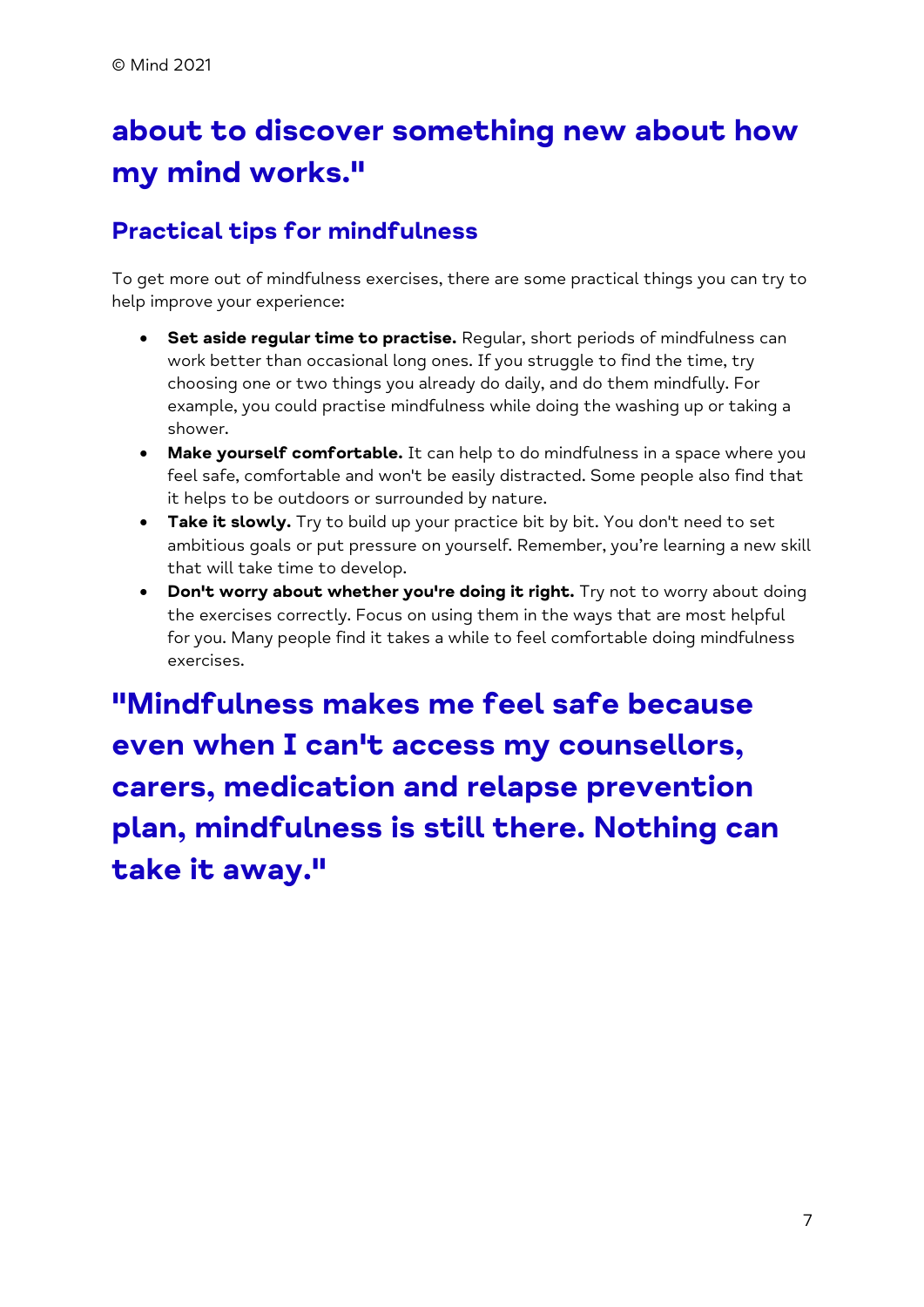# **about to discover something new about how my mind works."**

#### **Practical tips for mindfulness**

To get more out of mindfulness exercises, there are some practical things you can try to help improve your experience:

- **Set aside regular time to practise.** Regular, short periods of mindfulness can work better than occasional long ones. If you struggle to find the time, try choosing one or two things you already do daily, and do them mindfully. For example, you could practise mindfulness while doing the washing up or taking a shower.
- **Make yourself comfortable.** It can help to do mindfulness in a space where you feel safe, comfortable and won't be easily distracted. Some people also find that it helps to be outdoors or surrounded by nature.
- **Take it slowly.** Try to build up your practice bit by bit. You don't need to set ambitious goals or put pressure on yourself. Remember, you're learning a new skill that will take time to develop.
- **Don't worry about whether you're doing it right.** Try not to worry about doing the exercises correctly. Focus on using them in the ways that are most helpful for you. Many people find it takes a while to feel comfortable doing mindfulness exercises.

**"Mindfulness makes me feel safe because even when I can't access my counsellors, carers, medication and relapse prevention plan, mindfulness is still there. Nothing can take it away."**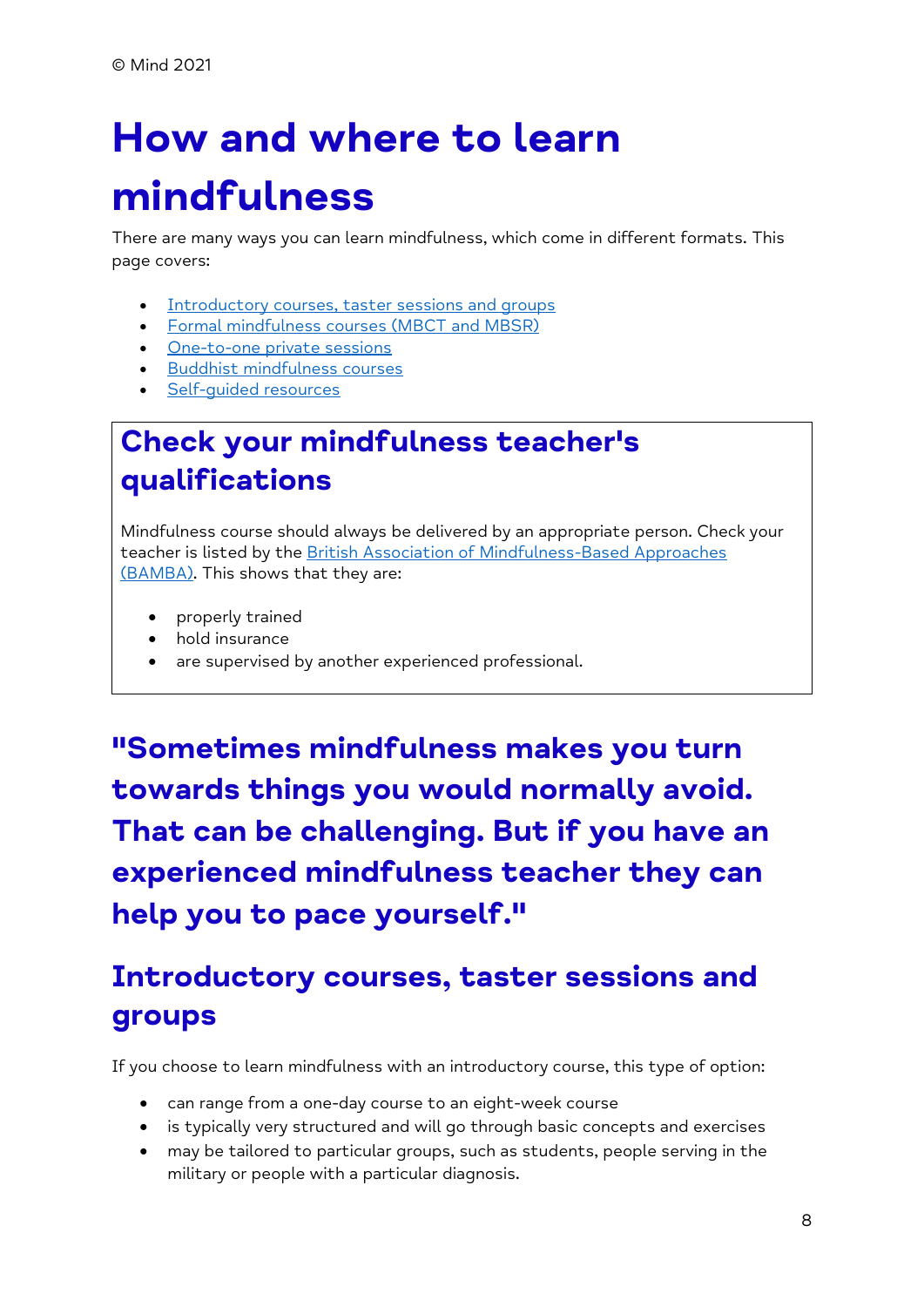# <span id="page-7-0"></span>**How and where to learn mindfulness**

There are many ways you can learn mindfulness, which come in different formats. This page covers:

- [Introductory courses, taster sessions and groups](https://www.mind.org.uk/information-support/drugs-and-treatments/mindfulness/how-to-learn-mindfulness/#IntroductoryCoursesTasterSessionsAndGroups)
- [Formal mindfulness courses \(MBCT and MBSR\)](https://www.mind.org.uk/information-support/drugs-and-treatments/mindfulness/how-to-learn-mindfulness/#FormalMindfulnessCoursesMBCTAndMBSR)
- [One-to-one private sessions](https://www.mind.org.uk/information-support/drugs-and-treatments/mindfulness/how-to-learn-mindfulness/#OneToOnePrivateSessions)
- [Buddhist mindfulness courses](https://www.mind.org.uk/information-support/drugs-and-treatments/mindfulness/how-to-learn-mindfulness/#BuddhistMindfulnessCourses)
- [Self-guided resources](https://www.mind.org.uk/information-support/drugs-and-treatments/mindfulness/how-to-learn-mindfulness/#SelfGuidedResources)

# **Check your mindfulness teacher's qualifications**

Mindfulness course should always be delivered by an appropriate person. Check your teacher is listed by the British Association of Mindfulness-Based Approaches [\(BAMBA\).](https://bamba.org.uk/) This shows that they are:

- properly trained
- hold insurance
- are supervised by another experienced professional.

**"Sometimes mindfulness makes you turn towards things you would normally avoid. That can be challenging. But if you have an experienced mindfulness teacher they can help you to pace yourself."**

# **Introductory courses, taster sessions and groups**

If you choose to learn mindfulness with an introductory course, this type of option:

- can range from a one-day course to an eight-week course
- is typically very structured and will go through basic concepts and exercises
- may be tailored to particular groups, such as students, people serving in the military or people with a particular diagnosis.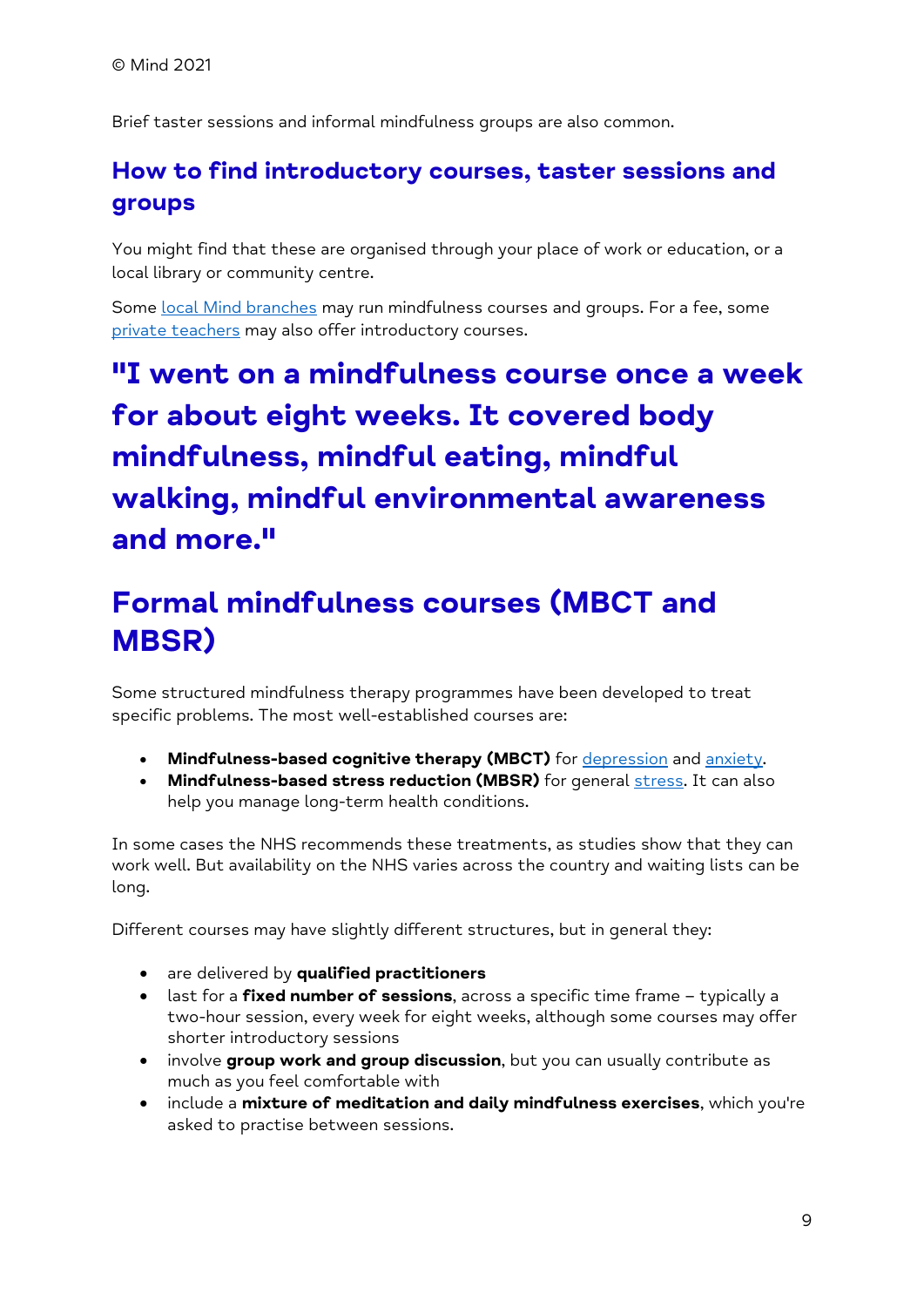Brief taster sessions and informal mindfulness groups are also common.

#### **How to find introductory courses, taster sessions and groups**

You might find that these are organised through your place of work or education, or a local library or community centre.

Some [local Mind branches](https://www.mind.org.uk/information-support/local-minds/) may run mindfulness courses and groups. For a fee, some [private teachers](https://www.mind.org.uk/information-support/drugs-and-treatments/mindfulness/how-to-learn-mindfulness/#OneToOnePrivateSessions) may also offer introductory courses.

# **"I went on a mindfulness course once a week for about eight weeks. It covered body mindfulness, mindful eating, mindful walking, mindful environmental awareness and more."**

# **Formal mindfulness courses (MBCT and MBSR)**

Some structured mindfulness therapy programmes have been developed to treat specific problems. The most well-established courses are:

- **Mindfulness-based cognitive therapy (MBCT)** for [depression](https://www.mind.org.uk/information-support/types-of-mental-health-problems/depression/) and [anxiety.](https://www.mind.org.uk/information-support/types-of-mental-health-problems/anxiety-and-panic-attacks/)
- Mindfulness-based stress reduction (MBSR) for general [stress.](https://www.mind.org.uk/information-support/types-of-mental-health-problems/stress/) It can also help you manage long-term health conditions.

In some cases the NHS recommends these treatments, as studies show that they can work well. But availability on the NHS varies across the country and waiting lists can be long.

Different courses may have slightly different structures, but in general they:

- are delivered by **qualified practitioners**
- last for a **fixed number of sessions**, across a specific time frame typically a two-hour session, every week for eight weeks, although some courses may offer shorter introductory sessions
- involve **group work and group discussion**, but you can usually contribute as much as you feel comfortable with
- include a **mixture of meditation and daily mindfulness exercises**, which you're asked to practise between sessions.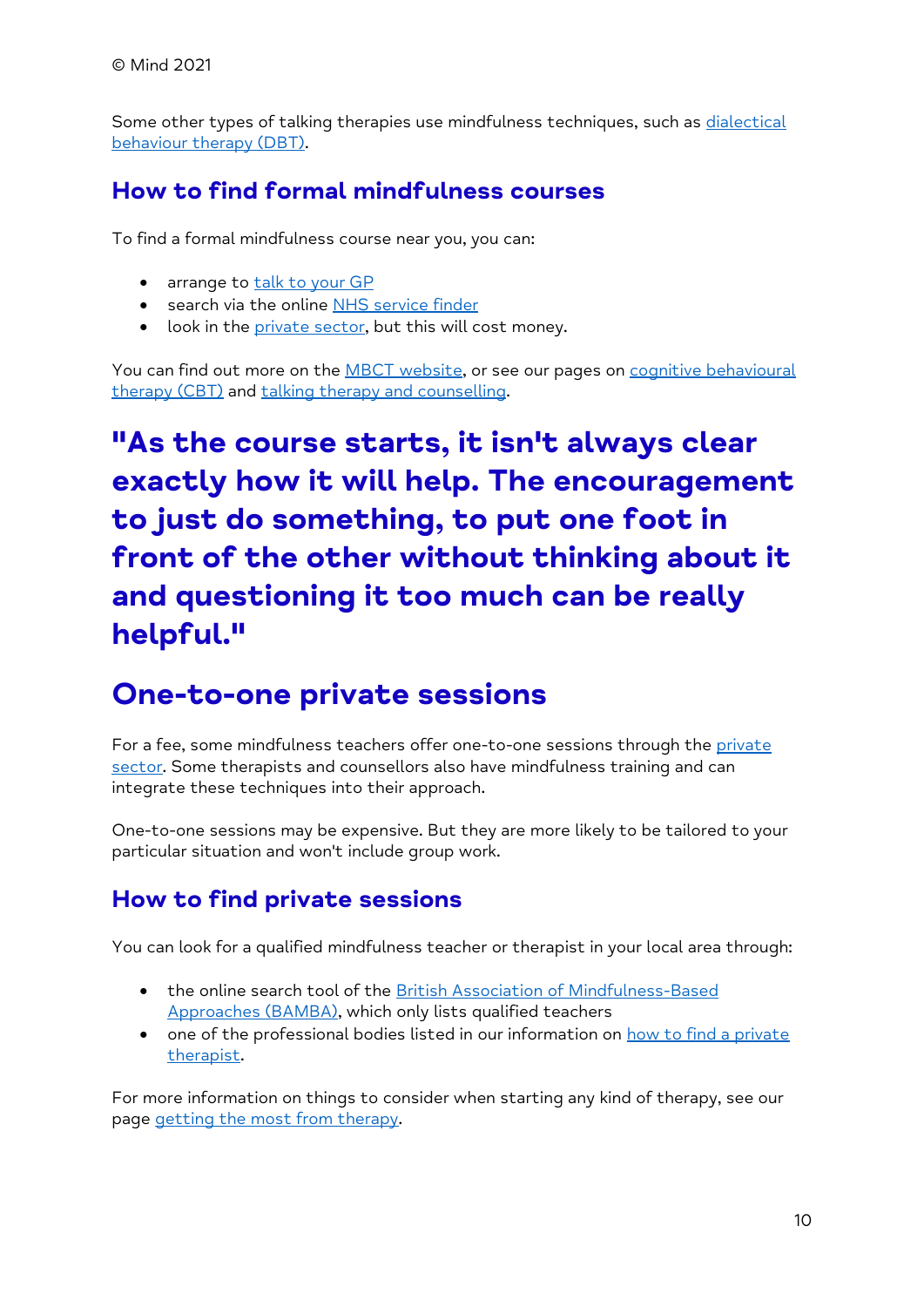Some other types of talking therapies use mindfulness techniques, such as dialectical [behaviour therapy \(DBT\).](https://www.mind.org.uk/information-support/drugs-and-treatments/talking-therapy-and-counselling/dialectical-behaviour-therapy-dbt/)

#### **How to find formal mindfulness courses**

To find a formal mindfulness course near you, you can:

- arrange to [talk to your GP](https://www.mind.org.uk/information-support/guides-to-support-and-services/seeking-help-for-a-mental-health-problem/talking-to-your-gp/)
- search via the online [NHS service finder](https://www.nhs.uk/service-search)
- look in the [private sector,](https://www.mind.org.uk/information-support/drugs-and-treatments/mindfulness/how-to-learn-mindfulness/#OneToOnePrivateSessions) but this will cost money.

You can find out more on the **MBCT** website, or see our pages on cognitive behavioural [therapy \(CBT\)](https://www.mind.org.uk/information-support/drugs-and-treatments/talking-therapy-and-counselling/cognitive-behavioural-therapy-cbt/) and [talking therapy and counselling.](https://www.mind.org.uk/information-support/drugs-and-treatments/talking-therapy-and-counselling/cognitive-behavioural-therapy-cbt/)

# **"As the course starts, it isn't always clear exactly how it will help. The encouragement to just do something, to put one foot in front of the other without thinking about it and questioning it too much can be really helpful."**

### **One-to-one private sessions**

For a fee, some mindfulness teachers offer one-to-one sessions through the private [sector.](https://www.mind.org.uk/information-support/guides-to-support-and-services/seeking-help-for-a-mental-health-problem/private-sector-care/) Some therapists and counsellors also have mindfulness training and can integrate these techniques into their approach.

One-to-one sessions may be expensive. But they are more likely to be tailored to your particular situation and won't include group work.

#### **How to find private sessions**

You can look for a qualified mindfulness teacher or therapist in your local area through:

- the online search tool of the [British Association of Mindfulness-Based](https://bamba.org.uk/)  [Approaches \(BAMBA\),](https://bamba.org.uk/) which only lists qualified teachers
- one of the professional bodies listed in our information on how to find a private [therapist.](https://www.mind.org.uk/information-support/drugs-and-treatments/talking-therapy-and-counselling/how-to-find-a-therapist/#PrivateTherapists)

For more information on things to consider when starting any kind of therapy, see our page [getting the most from therapy.](https://www.mind.org.uk/information-support/drugs-and-treatments/talking-therapy-and-counselling/getting-the-most-from-therapy/)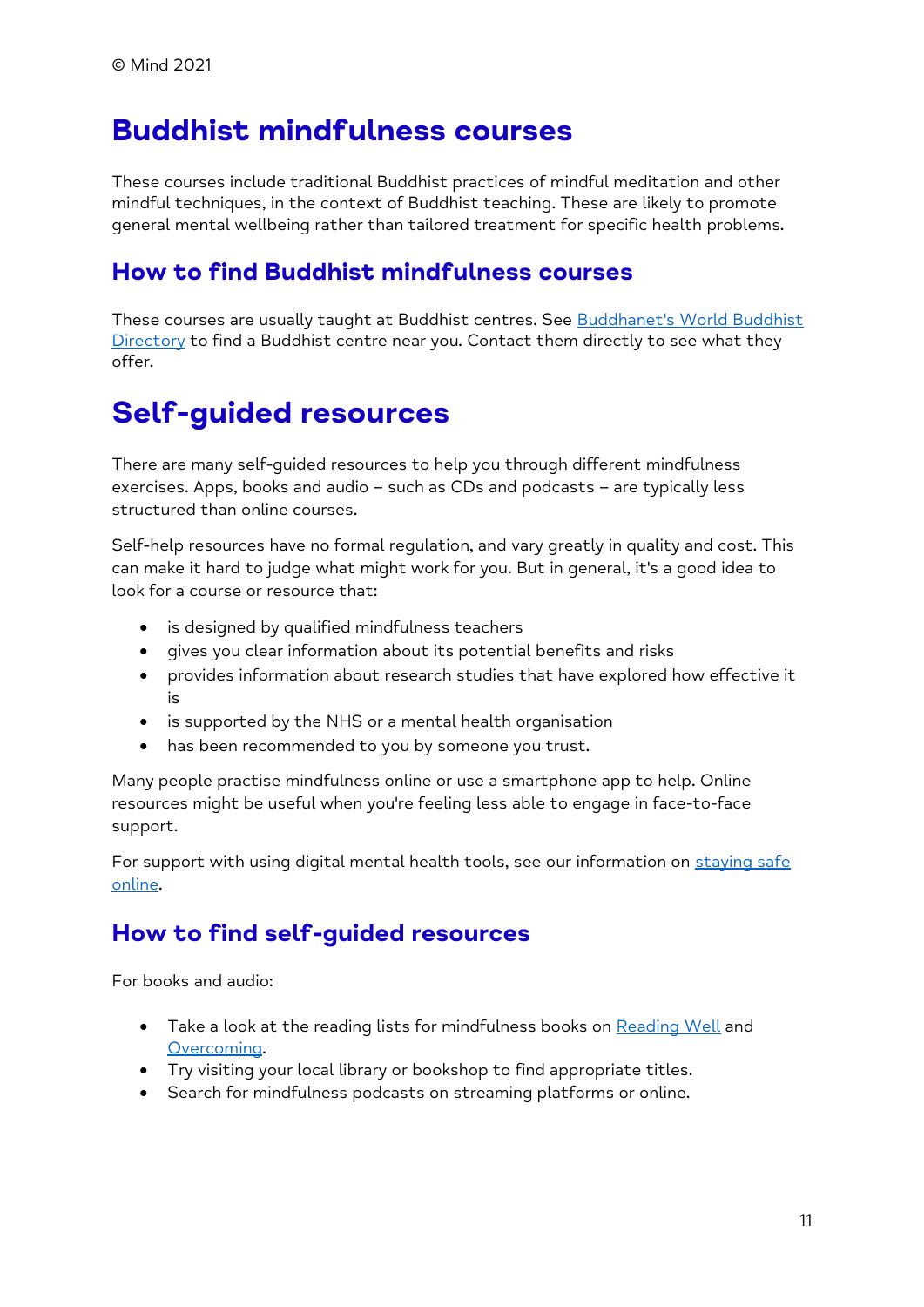### **Buddhist mindfulness courses**

These courses include traditional Buddhist practices of mindful meditation and other mindful techniques, in the context of Buddhist teaching. These are likely to promote general mental wellbeing rather than tailored treatment for specific health problems.

#### **How to find Buddhist mindfulness courses**

These courses are usually taught at Buddhist centres. See [Buddhanet's World Buddhist](http://www.buddhanet.info/wbd/)   $Directory$  to find a Buddhist centre near you. Contact them directly to see what they offer.

### **Self-guided resources**

There are many self-guided resources to help you through different mindfulness exercises. Apps, books and audio – such as CDs and podcasts – are typically less structured than online courses.

Self-help resources have no formal regulation, and vary greatly in quality and cost. This can make it hard to judge what might work for you. But in general, it's a good idea to look for a course or resource that:

- is designed by qualified mindfulness teachers
- gives you clear information about its potential benefits and risks
- provides information about research studies that have explored how effective it is
- is supported by the NHS or a mental health organisation
- has been recommended to you by someone you trust.

Many people practise mindfulness online or use a smartphone app to help. Online resources might be useful when you're feeling less able to engage in face-to-face support.

For support with using digital mental health tools, see our information on staying safe [online.](https://www.mind.org.uk/information-support/tips-for-everyday-living/online-mental-health/safety-privacy/)

#### **How to find self-guided resources**

For books and audio:

- Take a look at the reading lists for mindfulness books on [Reading Well](https://reading-well.org.uk/) and [Overcoming.](https://overcoming.co.uk/37+13047/Books)
- Try visiting your local library or bookshop to find appropriate titles.
- Search for mindfulness podcasts on streaming platforms or online.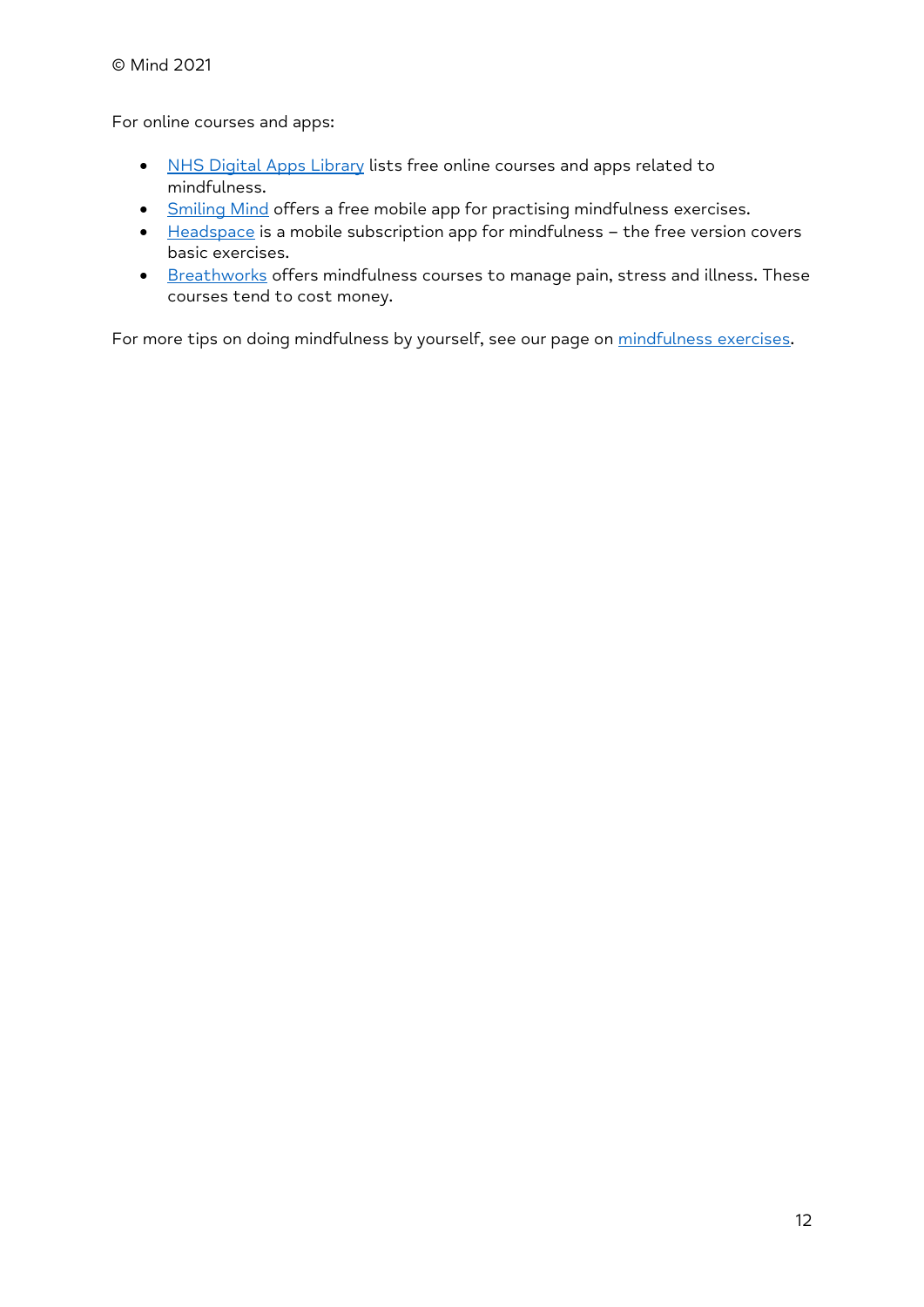For online courses and apps:

- [NHS Digital Apps Library](https://www.nhs.uk/apps-library/searchapps/?query=mindfulness) lists free online courses and apps related to mindfulness.
- [Smiling Mind](https://www.smilingmind.com.au/smiling-mind-app) offers a free mobile app for practising mindfulness exercises.
- [Headspace](https://www.headspace.com/) is a mobile subscription app for mindfulness the free version covers basic exercises.
- [Breathworks](https://www.breathworks-mindfulness.org.uk/) offers mindfulness courses to manage pain, stress and illness. These courses tend to cost money.

For more tips on doing mindfulness by yourself, see our page on [mindfulness exercises.](https://www.mind.org.uk/information-support/drugs-and-treatments/mindfulness/mindfulness-exercises-tips/)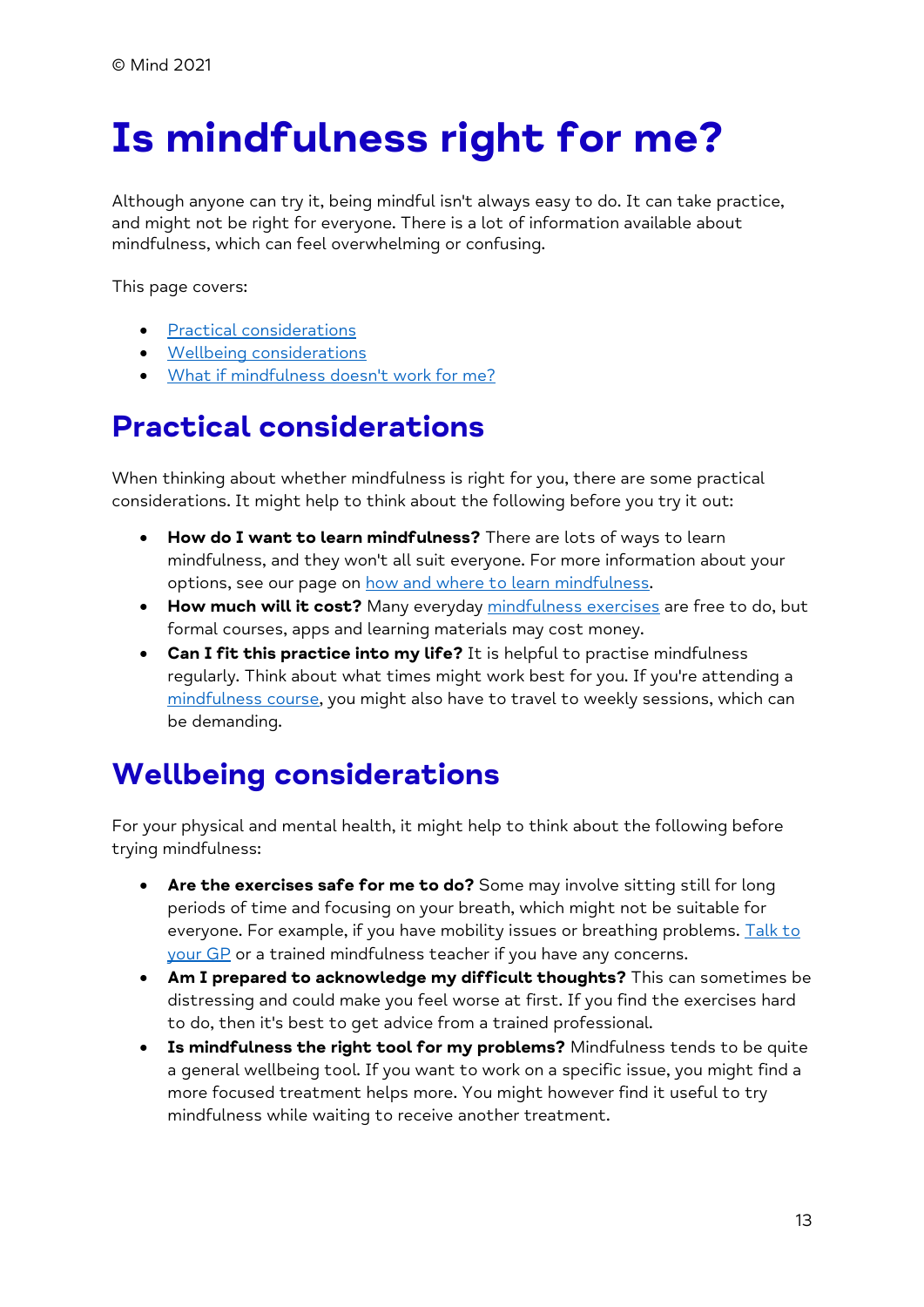# <span id="page-12-0"></span>**Is mindfulness right for me?**

Although anyone can try it, being mindful isn't always easy to do. It can take practice, and might not be right for everyone. There is a lot of information available about mindfulness, which can feel overwhelming or confusing.

This page covers:

- [Practical considerations](https://www.mind.org.uk/information-support/drugs-and-treatments/mindfulness/is-mindfulness-right-for-me/#PracticalConsiderations)
- [Wellbeing considerations](https://www.mind.org.uk/information-support/drugs-and-treatments/mindfulness/is-mindfulness-right-for-me/#WellbeingConsiderations)
- [What if mindfulness doesn't work for me?](https://www.mind.org.uk/information-support/drugs-and-treatments/mindfulness/is-mindfulness-right-for-me/#WhatIfMindfulnessDoesntWorkForMe)

# **Practical considerations**

When thinking about whether mindfulness is right for you, there are some practical considerations. It might help to think about the following before you try it out:

- **How do I want to learn mindfulness?** There are lots of ways to learn mindfulness, and they won't all suit everyone. For more information about your options, see our page on [how and where to learn mindfulness.](https://www.mind.org.uk/information-support/drugs-and-treatments/mindfulness/how-to-learn-mindfulness/)
- **How much will it cost?** Many everyday [mindfulness exercises](https://www.mind.org.uk/information-support/drugs-and-treatments/mindfulness/mindfulness-exercises-tips/) are free to do, but formal courses, apps and learning materials may cost money.
- **Can I fit this practice into my life?** It is helpful to practise mindfulness regularly. Think about what times might work best for you. If you're attending a [mindfulness course,](https://www.mind.org.uk/information-support/drugs-and-treatments/mindfulness/how-to-learn-mindfulness/#FormalMindfulnessCoursesMBCTAndMBSR) you might also have to travel to weekly sessions, which can be demanding.

# **Wellbeing considerations**

For your physical and mental health, it might help to think about the following before trying mindfulness:

- **Are the exercises safe for me to do?** Some may involve sitting still for long periods of time and focusing on your breath, which might not be suitable for everyone. For example, if you have mobility issues or breathing problems. Talk to [your GP](https://www.mind.org.uk/information-support/guides-to-support-and-services/seeking-help-for-a-mental-health-problem/talking-to-your-gp/) or a trained mindfulness teacher if you have any concerns.
- **Am I prepared to acknowledge my difficult thoughts?** This can sometimes be distressing and could make you feel worse at first. If you find the exercises hard to do, then it's best to get advice from a trained professional.
- **Is mindfulness the right tool for my problems?** Mindfulness tends to be quite a general wellbeing tool. If you want to work on a specific issue, you might find a more focused treatment helps more. You might however find it useful to try mindfulness while waiting to receive another treatment.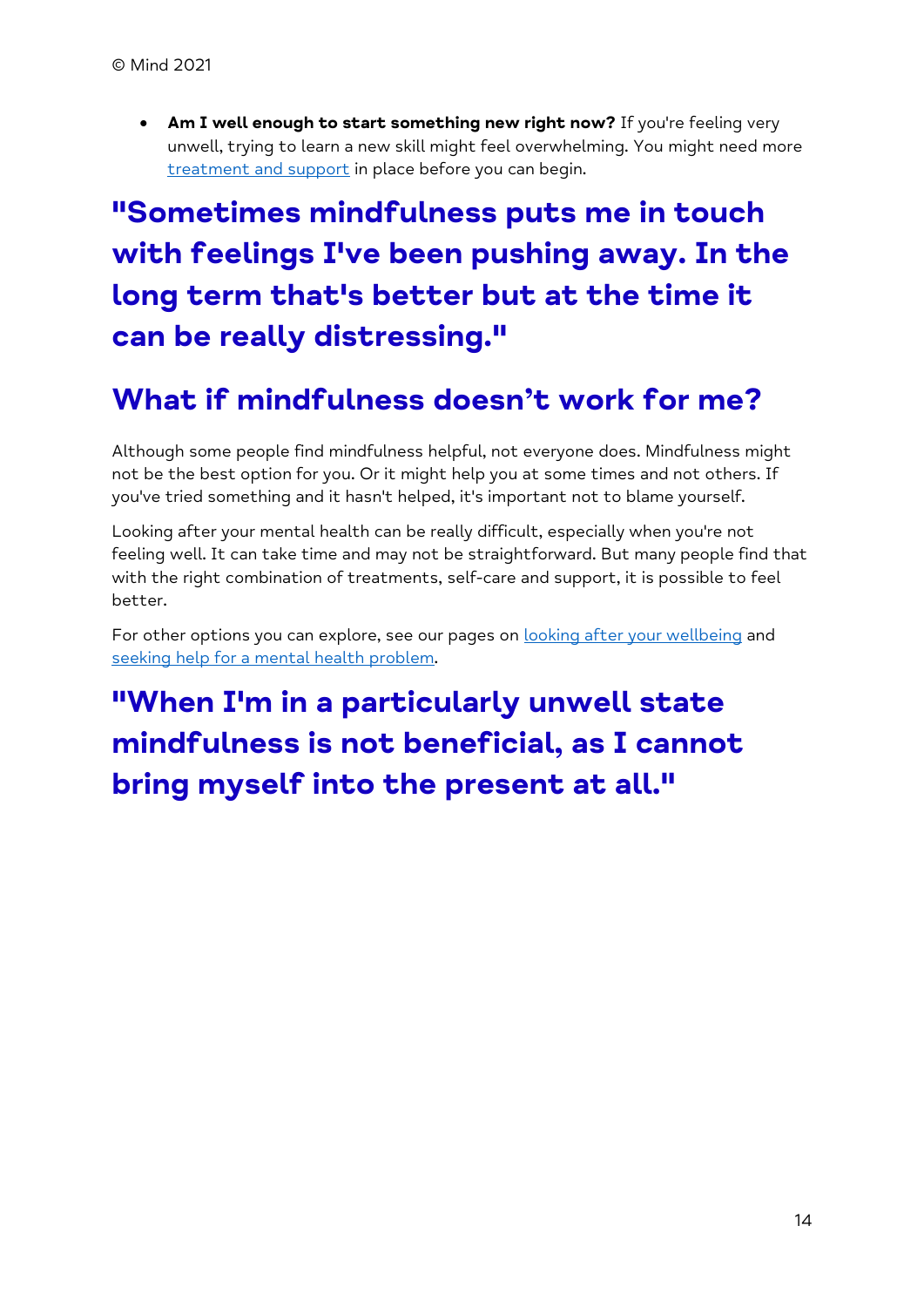• **Am I well enough to start something new right now?** If you're feeling very unwell, trying to learn a new skill might feel overwhelming. You might need more [treatment and support](https://www.mind.org.uk/information-support/drugs-and-treatments/) in place before you can begin.

# **"Sometimes mindfulness puts me in touch with feelings I've been pushing away. In the long term that's better but at the time it can be really distressing."**

## **What if mindfulness doesn't work for me?**

Although some people find mindfulness helpful, not everyone does. Mindfulness might not be the best option for you. Or it might help you at some times and not others. If you've tried something and it hasn't helped, it's important not to blame yourself.

Looking after your mental health can be really difficult, especially when you're not feeling well. It can take time and may not be straightforward. But many people find that with the right combination of treatments, self-care and support, it is possible to feel better.

For other options you can explore, see our pages on **looking after your wellbeing** and [seeking help for a mental health problem.](https://www.mind.org.uk/information-support/guides-to-support-and-services/seeking-help-for-a-mental-health-problem/)

**"When I'm in a particularly unwell state mindfulness is not beneficial, as I cannot bring myself into the present at all."**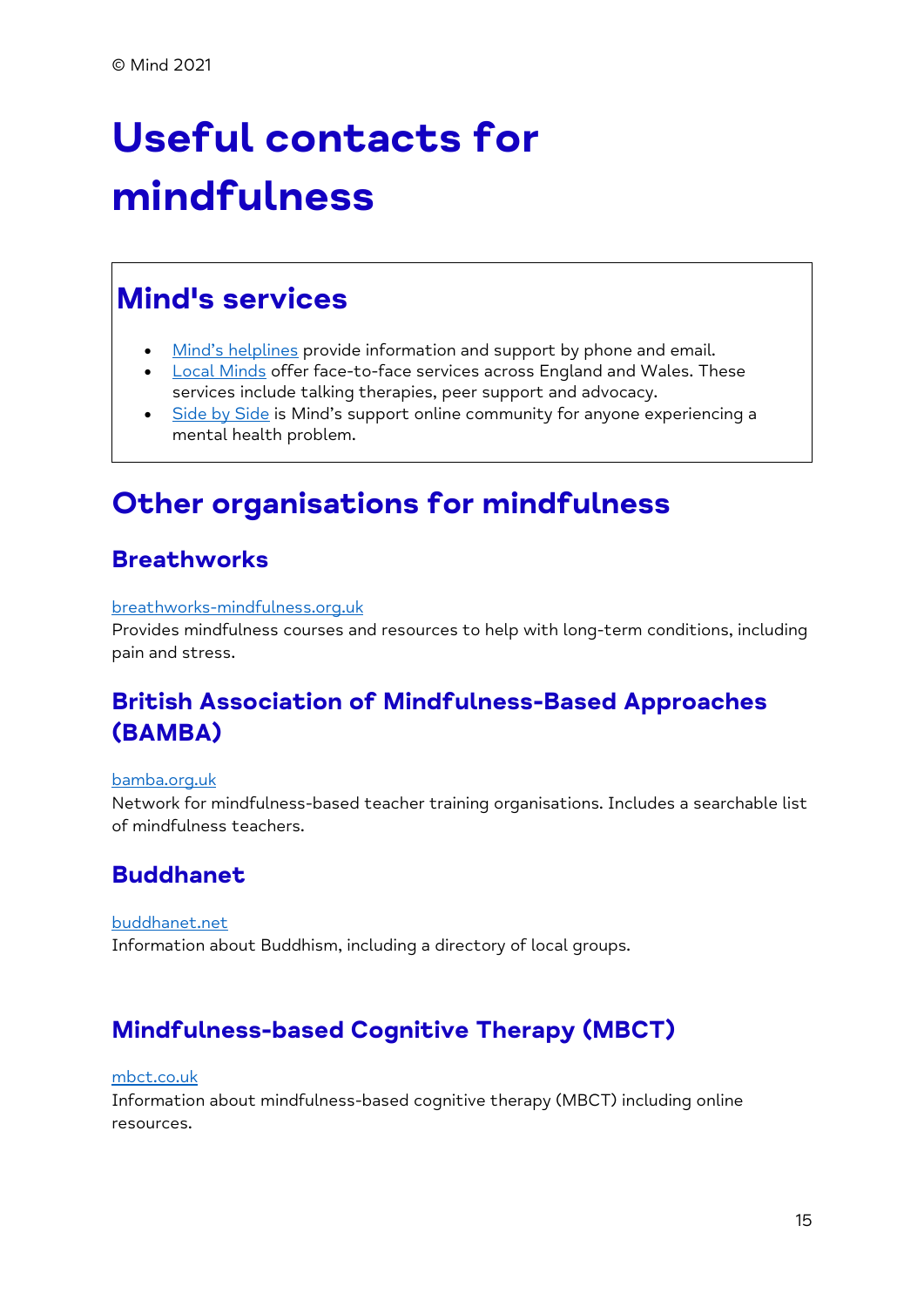# <span id="page-14-0"></span>**Useful contacts for mindfulness**

# **Mind's services**

- [Mind's helplines](https://www.mind.org.uk/information-support/helplines/) provide information and support by phone and email.
- [Local Minds](https://www.mind.org.uk/about-us/local-minds/) offer face-to-face services across England and Wales. These services include talking therapies, peer support and advocacy.
- [Side by Side](https://www.mind.org.uk/information-support/side-by-side-our-online-community/) is Mind's support online community for anyone experiencing a mental health problem.

## **Other organisations for mindfulness**

#### **Breathworks**

#### [breathworks-mindfulness.org.uk](https://www.breathworks-mindfulness.org.uk/)

Provides mindfulness courses and resources to help with long-term conditions, including pain and stress.

#### **British Association of Mindfulness-Based Approaches (BAMBA)**

#### [bamba.org.uk](https://www.bamba.org.uk/)

Network for mindfulness-based teacher training organisations. Includes a searchable list of mindfulness teachers.

#### **Buddhanet**

[buddhanet.net](http://www.buddhanet.net/) Information about Buddhism, including a directory of local groups.

#### **Mindfulness-based Cognitive Therapy (MBCT)**

#### [mbct.co.uk](http://www.mbct.co.uk/)

Information about mindfulness-based cognitive therapy (MBCT) including online resources.